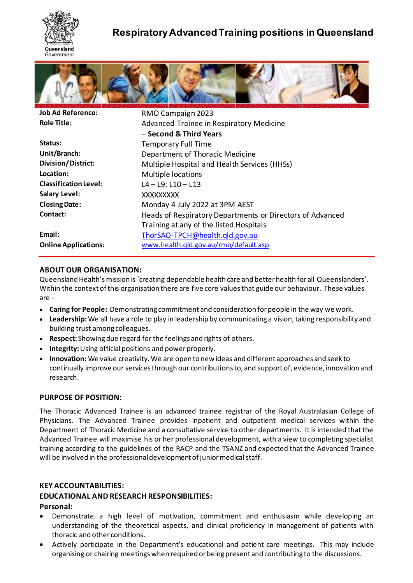

# **Respiratory Advanced Training positions in Queensland**



| <b>Job Ad Reference:</b>     | RMO Campaign 2023                                         |
|------------------------------|-----------------------------------------------------------|
| <b>Role Title:</b>           | Advanced Trainee in Respiratory Medicine                  |
|                              | - Second & Third Years                                    |
| Status:                      | <b>Temporary Full Time</b>                                |
| Unit/Branch:                 | Department of Thoracic Medicine                           |
| <b>Division/District:</b>    | Multiple Hospital and Health Services (HHSs)              |
| Location:                    | <b>Multiple locations</b>                                 |
| <b>Classification Level:</b> | $L4 - L9$ : $L10 - L13$                                   |
| <b>Salary Level:</b>         | XXXXXXXXX                                                 |
| <b>Closing Date:</b>         | Monday 4 July 2022 at 3PM AEST                            |
| Contact:                     | Heads of Respiratory Departments or Directors of Advanced |
|                              | Training at any of the listed Hospitals                   |
| Email:                       | ThorSAO-TPCH@health.gld.gov.au                            |
| <b>Online Applications:</b>  | www.health.qld.gov.au/rmo/default.asp                     |

### **ABOUT OUR ORGANISATION:**

Queensland Health's mission is 'creating dependable health care and better health for all Queenslanders'. Within the context of this organisation there are five core values that guide our behaviour. These values are -

- **Caring for People:** Demonstrating commitment and consideration for people in the way we work.
- **Leadership:**We all have a role to play in leadership by communicating a vision, taking responsibility and building trust among colleagues.
- **Respect:** Showing due regard for the feelings and rights of others.
- **Integrity:** Using official positions and power properly.
- **Innovation:** We value creativity. We are open to new ideas and different approaches and seek to continually improve our services through our contributions to, and support of, evidence, innovation and research.

### **PURPOSE OF POSITION:**

The Thoracic Advanced Trainee is an advanced trainee registrar of the Royal Australasian College of Physicians. The Advanced Trainee provides inpatient and outpatient medical services within the Department of Thoracic Medicine and a consultative service to other departments. It is intended that the Advanced Trainee will maximise his or her professional development, with a view to completing specialist training according to the guidelines of the RACP and the TSANZ and expected that the Advanced Trainee will be involved in the professional development of junior medical staff.

#### **KEY ACCOUNTABILITIES:**

### **EDUCATIONAL AND RESEARCH RESPONSIBILITIES:**

#### **Personal:**

- Demonstrate a high level of motivation, commitment and enthusiasm while developing an understanding of the theoretical aspects, and clinical proficiency in management of patients with thoracic and other conditions.
- Actively participate in the Department's educational and patient care meetings. This may include organising or chairing meetings when required or being present and contributing to the discussions.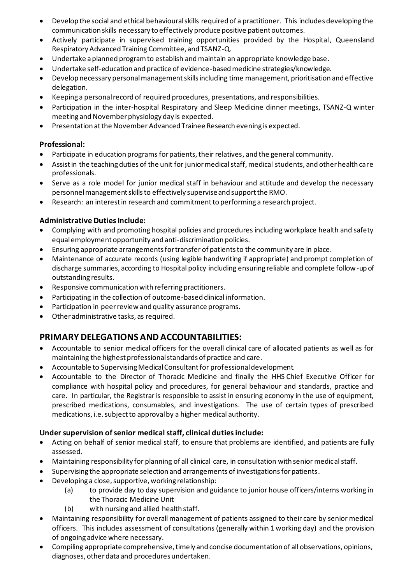- Develop the social and ethical behavioural skills required of a practitioner. This includes developing the communication skills necessary to effectively produce positive patient outcomes.
- Actively participate in supervised training opportunities provided by the Hospital, Queensland Respiratory Advanced Training Committee, and TSANZ-Q.
- Undertake a planned program to establish and maintain an appropriate knowledge base.
- Undertake self-education and practice of evidence-based medicine strategies/knowledge.
- Develop necessary personal management skills including time management, prioritisation and effective delegation.
- Keeping a personal record of required procedures, presentations, and responsibilities.
- Participation in the inter-hospital Respiratory and Sleep Medicine dinner meetings, TSANZ-Q winter meeting and November physiology day is expected.
- Presentation at the November Advanced Trainee Research evening is expected.

### **Professional:**

- Participate in education programs for patients, their relatives, and the general community.
- Assist in the teaching duties of the unit for junior medical staff, medical students, and other health care professionals.
- Serve as a role model for junior medical staff in behaviour and attitude and develop the necessary personnel management skills to effectively supervise and support the RMO.
- Research: an interest in research and commitment to performing a research project.

### **Administrative Duties Include:**

- Complying with and promoting hospital policies and procedures including workplace health and safety equal employment opportunity and anti-discrimination policies.
- Ensuring appropriate arrangements for transfer of patients to the community are in place.
- Maintenance of accurate records (using legible handwriting if appropriate) and prompt completion of discharge summaries, according to Hospital policy including ensuring reliable and complete follow-up of outstanding results.
- Responsive communication with referring practitioners.
- Participating in the collection of outcome-based clinical information.
- Participation in peer review and quality assurance programs.
- Other administrative tasks, as required.

# **PRIMARY DELEGATIONS AND ACCOUNTABILITIES:**

- Accountable to senior medical officers for the overall clinical care of allocated patients as well as for maintaining the highest professional standards of practice and care.
- Accountable to Supervising Medical Consultant for professionaldevelopment.
- Accountable to the Director of Thoracic Medicine and finally the HHS Chief Executive Officer for compliance with hospital policy and procedures, for general behaviour and standards, practice and care. In particular, the Registrar is responsible to assist in ensuring economy in the use of equipment, prescribed medications, consumables, and investigations. The use of certain types of prescribed medications, i.e. subject to approval by a higher medical authority.

### **Under supervision of senior medical staff, clinical duties include:**

- Acting on behalf of senior medical staff, to ensure that problems are identified, and patients are fully assessed.
- Maintaining responsibility for planning of all clinical care, in consultation with senior medical staff.
- Supervising the appropriate selection and arrangements of investigations for patients.
- Developing a close, supportive, working relationship:
	- (a) to provide day to day supervision and guidance to junior house officers/interns working in the Thoracic Medicine Unit
	- (b) with nursing and allied health staff.
- Maintaining responsibility for overall management of patients assigned to their care by senior medical officers. This includes assessment of consultations (generally within 1 working day) and the provision of ongoing advice where necessary.
- Compiling appropriate comprehensive, timely and concise documentation of all observations, opinions, diagnoses, other data and procedures undertaken.